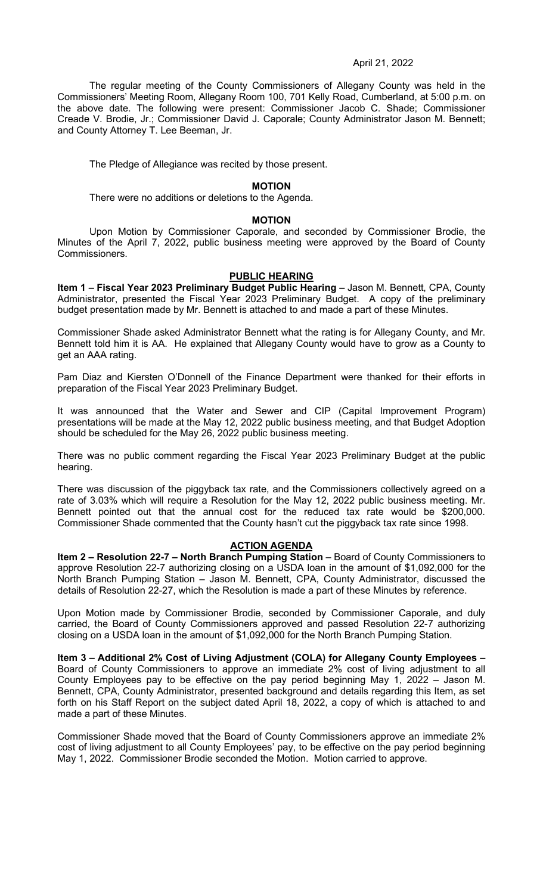### April 21, 2022

The regular meeting of the County Commissioners of Allegany County was held in the Commissioners' Meeting Room, Allegany Room 100, 701 Kelly Road, Cumberland, at 5:00 p.m. on the above date. The following were present: Commissioner Jacob C. Shade; Commissioner Creade V. Brodie, Jr.; Commissioner David J. Caporale; County Administrator Jason M. Bennett; and County Attorney T. Lee Beeman, Jr.

The Pledge of Allegiance was recited by those present.

# **MOTION**

There were no additions or deletions to the Agenda.

#### **MOTION**

Upon Motion by Commissioner Caporale, and seconded by Commissioner Brodie, the Minutes of the April 7, 2022, public business meeting were approved by the Board of County Commissioners.

### **PUBLIC HEARING**

Item 1 - Fiscal Year 2023 Preliminary Budget Public Hearing - Jason M. Bennett, CPA, County Administrator, presented the Fiscal Year 2023 Preliminary Budget. A copy of the preliminary budget presentation made by Mr. Bennett is attached to and made a part of these Minutes.

Commissioner Shade asked Administrator Bennett what the rating is for Allegany County, and Mr. Bennett told him it is AA. He explained that Allegany County would have to grow as a County to get an AAA rating.

Pam Diaz and Kiersten O'Donnell of the Finance Department were thanked for their efforts in preparation of the Fiscal Year 2023 Preliminary Budget.

It was announced that the Water and Sewer and CIP (Capital Improvement Program) presentations will be made at the May 12, 2022 public business meeting, and that Budget Adoption should be scheduled for the May 26, 2022 public business meeting.

There was no public comment regarding the Fiscal Year 2023 Preliminary Budget at the public hearing.

There was discussion of the piggyback tax rate, and the Commissioners collectively agreed on a rate of 3.03% which will require a Resolution for the May 12, 2022 public business meeting. Mr. Bennett pointed out that the annual cost for the reduced tax rate would be \$200,000. Commissioner Shade commented that the County hasn't cut the piggyback tax rate since 1998.

# **ACTION AGENDA**

**Item 2 – Resolution 22-7 – North Branch Pumping Station** – Board of County Commissioners to approve Resolution 22-7 authorizing closing on a USDA loan in the amount of \$1,092,000 for the North Branch Pumping Station – Jason M. Bennett, CPA, County Administrator, discussed the details of Resolution 22-27, which the Resolution is made a part of these Minutes by reference.

Upon Motion made by Commissioner Brodie, seconded by Commissioner Caporale, and duly carried, the Board of County Commissioners approved and passed Resolution 22-7 authorizing closing on a USDA loan in the amount of \$1,092,000 for the North Branch Pumping Station.

**Item 3 – Additional 2% Cost of Living Adjustment (COLA) for Allegany County Employees –**  Board of County Commissioners to approve an immediate 2% cost of living adjustment to all County Employees pay to be effective on the pay period beginning May 1, 2022 – Jason M. Bennett, CPA, County Administrator, presented background and details regarding this Item, as set forth on his Staff Report on the subject dated April 18, 2022, a copy of which is attached to and made a part of these Minutes.

Commissioner Shade moved that the Board of County Commissioners approve an immediate 2% cost of living adjustment to all County Employees' pay, to be effective on the pay period beginning May 1, 2022. Commissioner Brodie seconded the Motion. Motion carried to approve.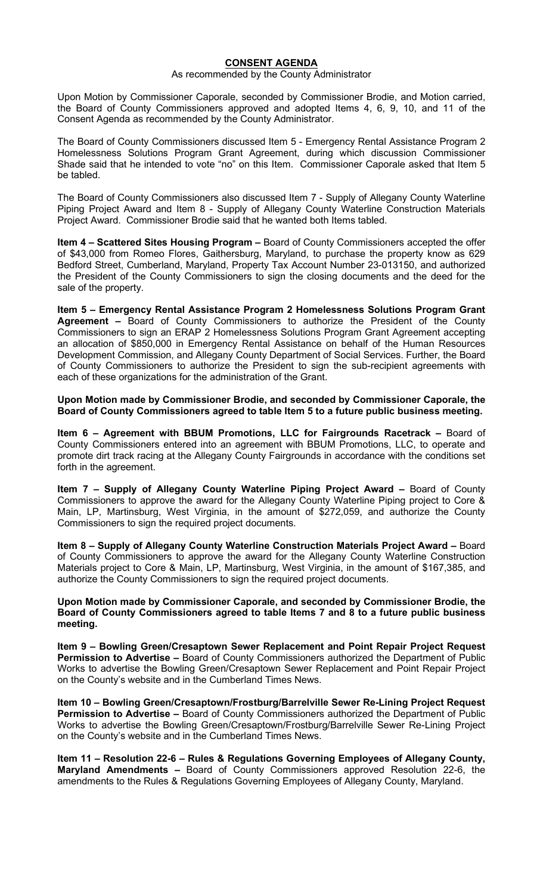# **CONSENT AGENDA**

#### As recommended by the County Administrator

Upon Motion by Commissioner Caporale, seconded by Commissioner Brodie, and Motion carried, the Board of County Commissioners approved and adopted Items 4, 6, 9, 10, and 11 of the Consent Agenda as recommended by the County Administrator.

The Board of County Commissioners discussed Item 5 - Emergency Rental Assistance Program 2 Homelessness Solutions Program Grant Agreement, during which discussion Commissioner Shade said that he intended to vote "no" on this Item. Commissioner Caporale asked that Item 5 be tabled.

The Board of County Commissioners also discussed Item 7 - Supply of Allegany County Waterline Piping Project Award and Item 8 - Supply of Allegany County Waterline Construction Materials Project Award. Commissioner Brodie said that he wanted both Items tabled.

**Item 4 – Scattered Sites Housing Program –** Board of County Commissioners accepted the offer of \$43,000 from Romeo Flores, Gaithersburg, Maryland, to purchase the property know as 629 Bedford Street, Cumberland, Maryland, Property Tax Account Number 23-013150, and authorized the President of the County Commissioners to sign the closing documents and the deed for the sale of the property.

**Item 5 – Emergency Rental Assistance Program 2 Homelessness Solutions Program Grant Agreement –** Board of County Commissioners to authorize the President of the County Commissioners to sign an ERAP 2 Homelessness Solutions Program Grant Agreement accepting an allocation of \$850,000 in Emergency Rental Assistance on behalf of the Human Resources Development Commission, and Allegany County Department of Social Services. Further, the Board of County Commissioners to authorize the President to sign the sub-recipient agreements with each of these organizations for the administration of the Grant.

**Upon Motion made by Commissioner Brodie, and seconded by Commissioner Caporale, the Board of County Commissioners agreed to table Item 5 to a future public business meeting.** 

**Item 6 – Agreement with BBUM Promotions, LLC for Fairgrounds Racetrack –** Board of County Commissioners entered into an agreement with BBUM Promotions, LLC, to operate and promote dirt track racing at the Allegany County Fairgrounds in accordance with the conditions set forth in the agreement.

**Item 7 – Supply of Allegany County Waterline Piping Project Award –** Board of County Commissioners to approve the award for the Allegany County Waterline Piping project to Core & Main, LP, Martinsburg, West Virginia, in the amount of \$272,059, and authorize the County Commissioners to sign the required project documents.

**Item 8 – Supply of Allegany County Waterline Construction Materials Project Award –** Board of County Commissioners to approve the award for the Allegany County Waterline Construction Materials project to Core & Main, LP, Martinsburg, West Virginia, in the amount of \$167,385, and authorize the County Commissioners to sign the required project documents.

**Upon Motion made by Commissioner Caporale, and seconded by Commissioner Brodie, the Board of County Commissioners agreed to table Items 7 and 8 to a future public business meeting.** 

**Item 9 – Bowling Green/Cresaptown Sewer Replacement and Point Repair Project Request Permission to Advertise –** Board of County Commissioners authorized the Department of Public Works to advertise the Bowling Green/Cresaptown Sewer Replacement and Point Repair Project on the County's website and in the Cumberland Times News.

**Item 10 – Bowling Green/Cresaptown/Frostburg/Barrelville Sewer Re-Lining Project Request Permission to Advertise –** Board of County Commissioners authorized the Department of Public Works to advertise the Bowling Green/Cresaptown/Frostburg/Barrelville Sewer Re-Lining Project on the County's website and in the Cumberland Times News.

**Item 11 – Resolution 22-6 – Rules & Regulations Governing Employees of Allegany County, Maryland Amendments –** Board of County Commissioners approved Resolution 22-6, the amendments to the Rules & Regulations Governing Employees of Allegany County, Maryland.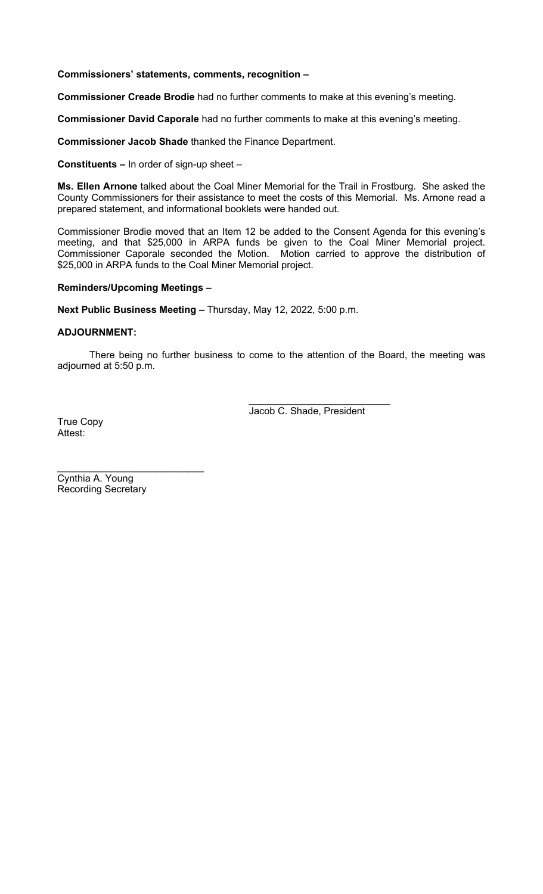**Commissioners' statements, comments, recognition –**

**Commissioner Creade Brodie** had no further comments to make at this evening's meeting.

**Commissioner David Caporale** had no further comments to make at this evening's meeting.

**Commissioner Jacob Shade** thanked the Finance Department.

**Constituents –** In order of sign-up sheet –

**Ms. Ellen Arnone** talked about the Coal Miner Memorial for the Trail in Frostburg. She asked the County Commissioners for their assistance to meet the costs of this Memorial. Ms. Arnone read a prepared statement, and informational booklets were handed out.

Commissioner Brodie moved that an Item 12 be added to the Consent Agenda for this evening's meeting, and that \$25,000 in ARPA funds be given to the Coal Miner Memorial project. Commissioner Caporale seconded the Motion. Motion carried to approve the distribution of \$25,000 in ARPA funds to the Coal Miner Memorial project.

# **Reminders/Upcoming Meetings –**

**Next Public Business Meeting –** Thursday, May 12, 2022, 5:00 p.m.

# **ADJOURNMENT:**

There being no further business to come to the attention of the Board, the meeting was adjourned at 5:50 p.m.

> $\overline{\phantom{a}}$  , which is a set of the set of the set of the set of the set of the set of the set of the set of the set of the set of the set of the set of the set of the set of the set of the set of the set of the set of th Jacob C. Shade, President

True Copy Attest:

\_\_\_\_\_\_\_\_\_\_\_\_\_\_\_\_\_\_\_\_\_\_\_\_\_\_\_ Cynthia A. Young Recording Secretary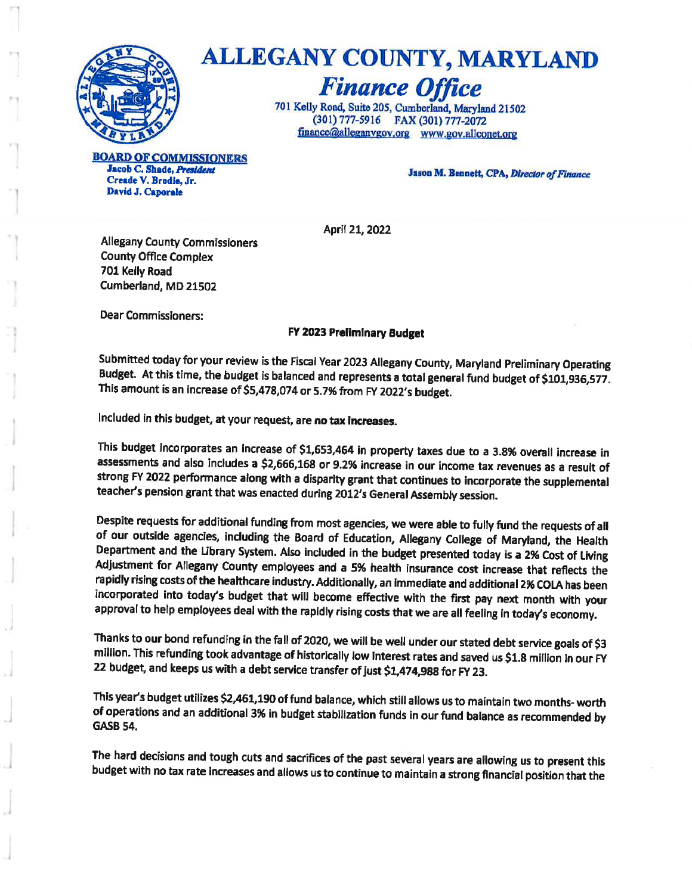

# ALLEGANY COUNTY, MARYLAND

**Finance Office** 701 Kelly Road, Suite 205, Cumberland, Maryland 21502 (301) 777-5916 FAX (301) 777-2072 finance@alleganygov.org www.gov.allconet.org

**LD OF COMMISSIONERS** Jacob C. Shade, President Creade V. Brodie, Jr. David J. Caporale

Jason M. Bennett, CPA, Director of Finance

April 21, 2022

**Allegany County Commissioners County Office Complex** 701 Kelly Road Cumberland, MD 21502

**Dear Commissioners:** 

#### FY 2023 Preliminary Budget

Submitted today for your review is the Fiscal Year 2023 Allegany County, Maryland Preliminary Operating Budget. At this time, the budget is balanced and represents a total general fund budget of \$101,936,577. This amount is an increase of \$5,478,074 or 5.7% from FY 2022's budget.

Included in this budget, at your request, are no tax increases.

This budget incorporates an increase of \$1,653,464 in property taxes due to a 3.8% overall increase in assessments and also includes a \$2,666,168 or 9.2% increase in our income tax revenues as a result of strong FY 2022 performance along with a disparity grant that continues to incorporate the supplemental teacher's pension grant that was enacted during 2012's General Assembly session.

Despite requests for additional funding from most agencies, we were able to fully fund the requests of all of our outside agencies, including the Board of Education, Allegany College of Maryland, the Health Department and the Library System. Also included in the budget presented today is a 2% Cost of Living Adjustment for Allegany County employees and a 5% health insurance cost increase that reflects the rapidly rising costs of the healthcare industry. Additionally, an immediate and additional 2% COLA has been incorporated into today's budget that will become effective with the first pay next month with your approval to help employees deal with the rapidly rising costs that we are all feeling in today's economy.

Thanks to our bond refunding in the fall of 2020, we will be well under our stated debt service goals of \$3 million. This refunding took advantage of historically low Interest rates and saved us \$1.8 million In our FY 22 budget, and keeps us with a debt service transfer of just \$1,474,988 for FY 23.

This year's budget utilizes \$2,461,190 of fund balance, which still allows us to maintain two months- worth of operations and an additional 3% in budget stabilization funds in our fund balance as recommended by **GASB 54.** 

The hard decisions and tough cuts and sacrifices of the past several years are allowing us to present this budget with no tax rate increases and allows us to continue to maintain a strong financial position that the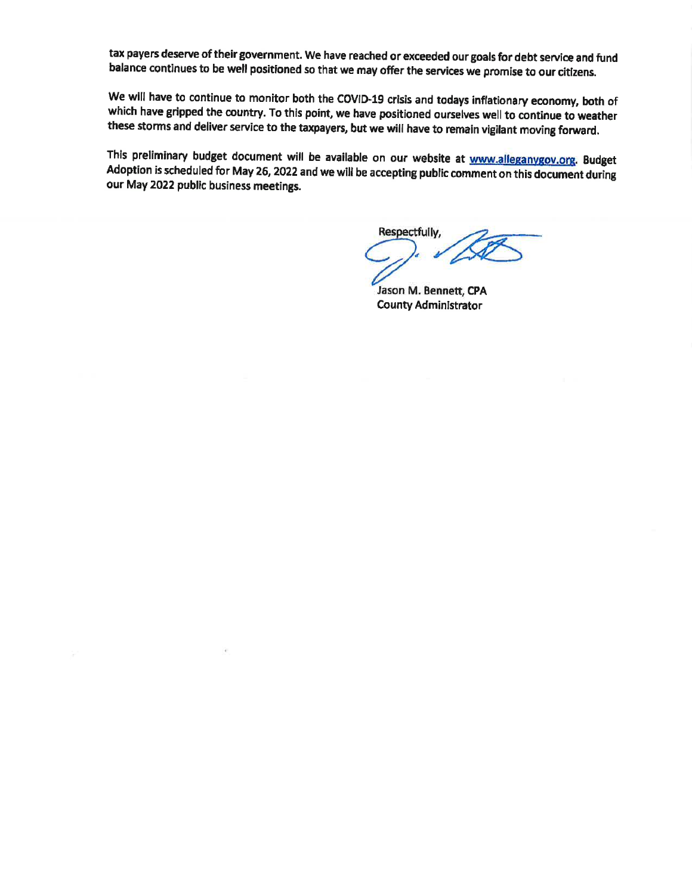tax payers deserve of their government. We have reached or exceeded our goals for debt service and fund balance continues to be well positioned so that we may offer the services we promise to our citizens.

We will have to continue to monitor both the COVID-19 crisis and todays inflationary economy, both of which have gripped the country. To this point, we have positioned ourselves well to continue to weather these storms and deliver service to the taxpayers, but we will have to remain vigilant moving forward.

This preliminary budget document will be available on our website at www.alleganygov.org. Budget Adoption is scheduled for May 26, 2022 and we will be accepting public comment on this document during our May 2022 public business meetings.

Respectfully,

Jason M. Bennett, CPA **County Administrator**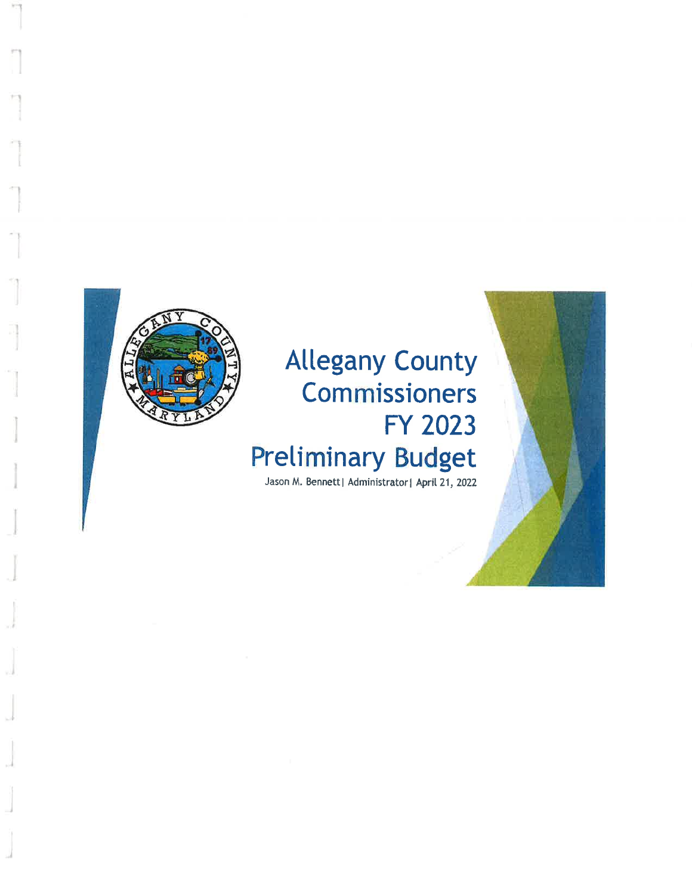

# **Allegany County Commissioners** FY 2023 **Preliminary Budget**

Jason M. Bennett| Administrator| April 21, 2022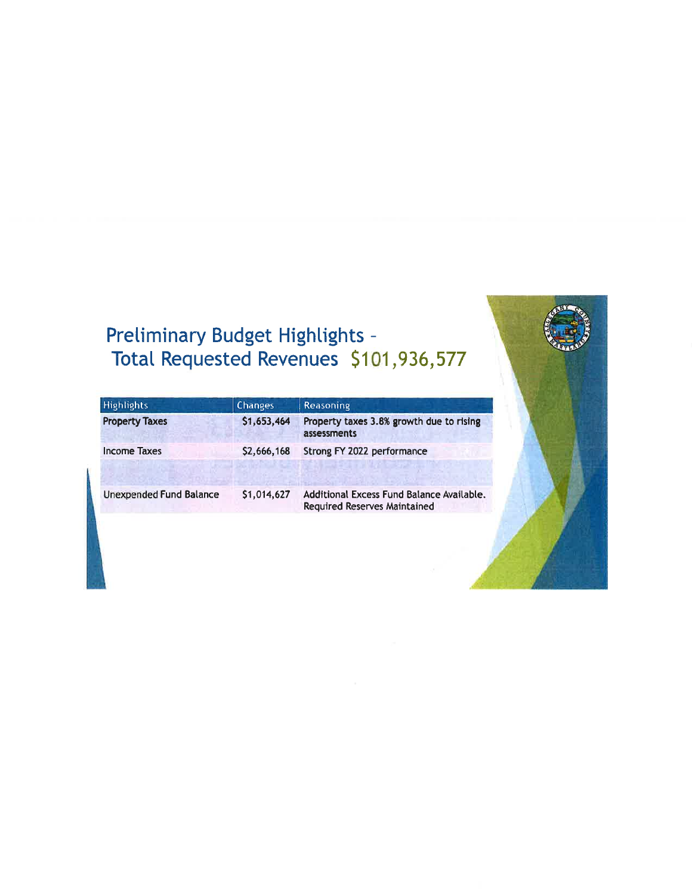# Preliminary Budget Highlights -<br>Total Requested Revenues \$101,936,577

| <b>Highlights</b>              | <b>Changes</b> | Reasoning                                                                        |
|--------------------------------|----------------|----------------------------------------------------------------------------------|
| <b>Property Taxes</b>          | \$1,653,464    | Property taxes 3.8% growth due to rising<br>assessments                          |
| <b>Income Taxes</b>            | \$2,666,168    | Strong FY 2022 performance                                                       |
| <b>Unexpended Fund Balance</b> | \$1,014,627    | Additional Excess Fund Balance Available.<br><b>Required Reserves Maintained</b> |

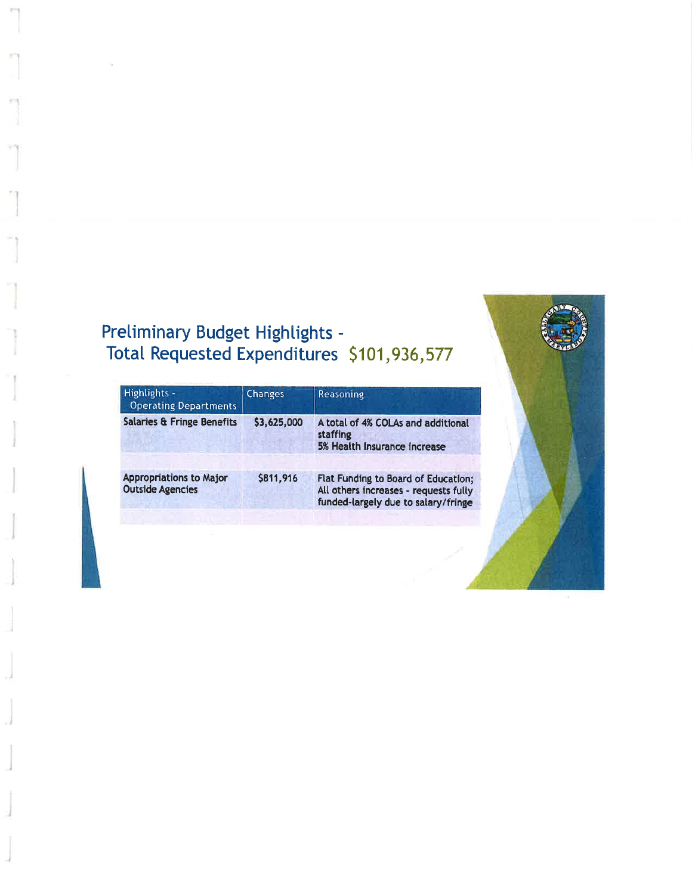# Preliminary Budget Highlights -<br>Total Requested Expenditures \$101,936,577

| Highlights -<br><b>Operating Departments</b>              | <b>Changes</b> | <b>Reasoning</b>                                                                                                    |
|-----------------------------------------------------------|----------------|---------------------------------------------------------------------------------------------------------------------|
| <b>Salaries &amp; Fringe Benefits</b>                     | \$3,625,000    | A total of 4% COLAs and additional<br>staffing<br>5% Health Insurance increase                                      |
| <b>Appropriations to Major</b><br><b>Outside Agencies</b> | \$811,916      | Flat Funding to Board of Education;<br>All others increases - requests fully<br>funded-largely due to salary/fringe |

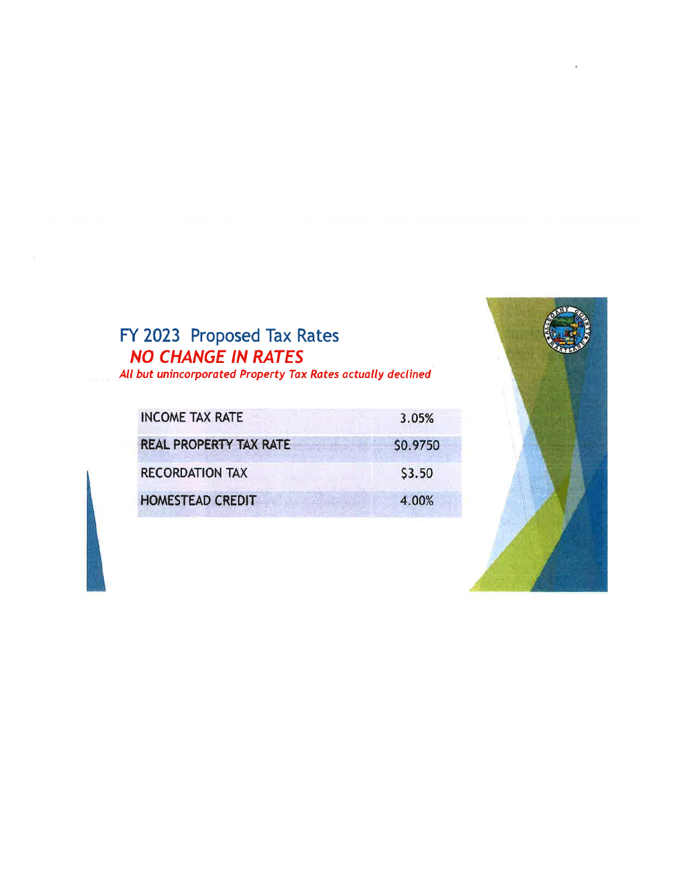# FY 2023 Proposed Tax Rates<br>NO CHANGE IN RATES

All but unincorporated Property Tax Rates actually declined

| <b>INCOME TAX RATE</b>        | 3.05%    |
|-------------------------------|----------|
| <b>REAL PROPERTY TAX RATE</b> | \$0.9750 |
| <b>RECORDATION TAX</b>        | \$3.50   |
| <b>HOMESTEAD CREDIT</b>       | 4.00%    |

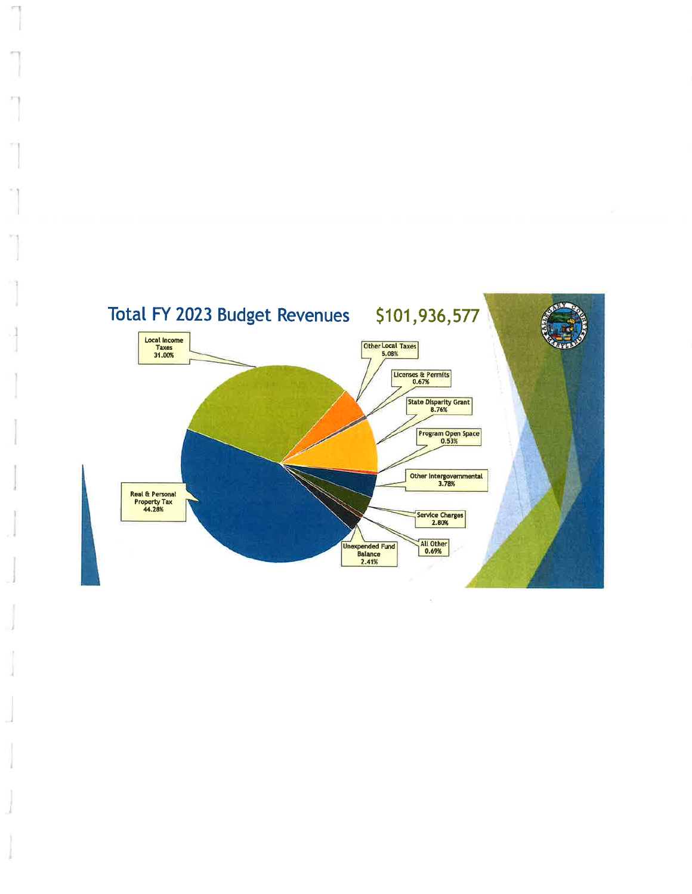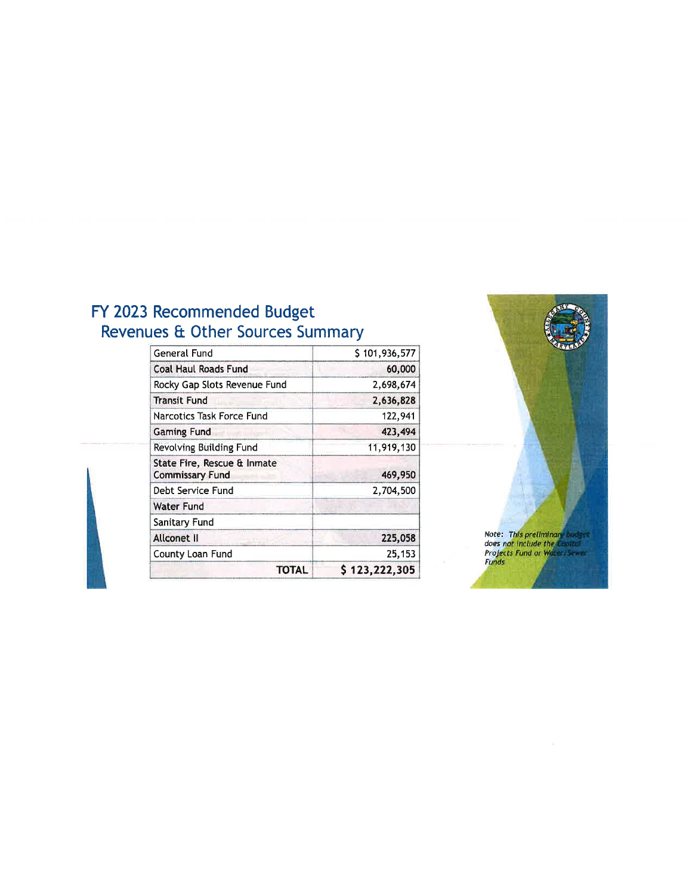# FY 2023 Recommended Budget<br>Revenues & Other Sources Summary

| General Fund                                          | \$101,936,577 |
|-------------------------------------------------------|---------------|
| <b>Coal Haul Roads Fund</b>                           | 60,000        |
| Rocky Gap Slots Revenue Fund                          | 2,698,674     |
| <b>Transit Fund</b>                                   | 2,636,828     |
| Narcotics Task Force Fund                             | 122,941       |
| <b>Gaming Fund</b>                                    | 423,494       |
| Revolving Building Fund                               | 11,919,130    |
| State Fire, Rescue & Inmate<br><b>Commissary Fund</b> | 469,950       |
| Debt Service Fund                                     | 2,704,500     |
| <b>Water Fund</b>                                     |               |
| Sanitary Fund                                         |               |
| Allconet II                                           | 225,058       |
| County Loan Fund                                      | 25,153        |
| TOTAL                                                 | \$123,222,305 |

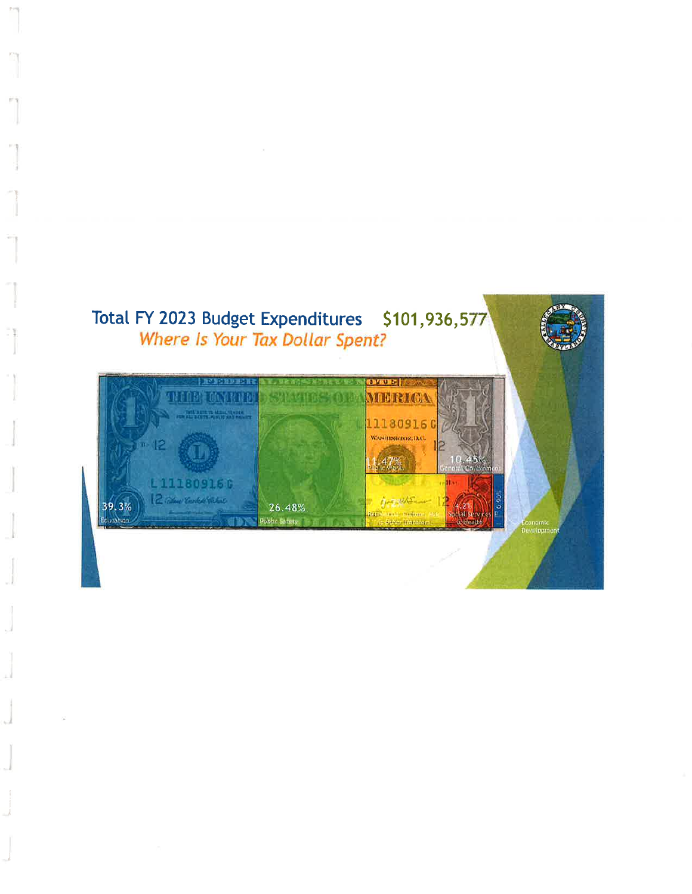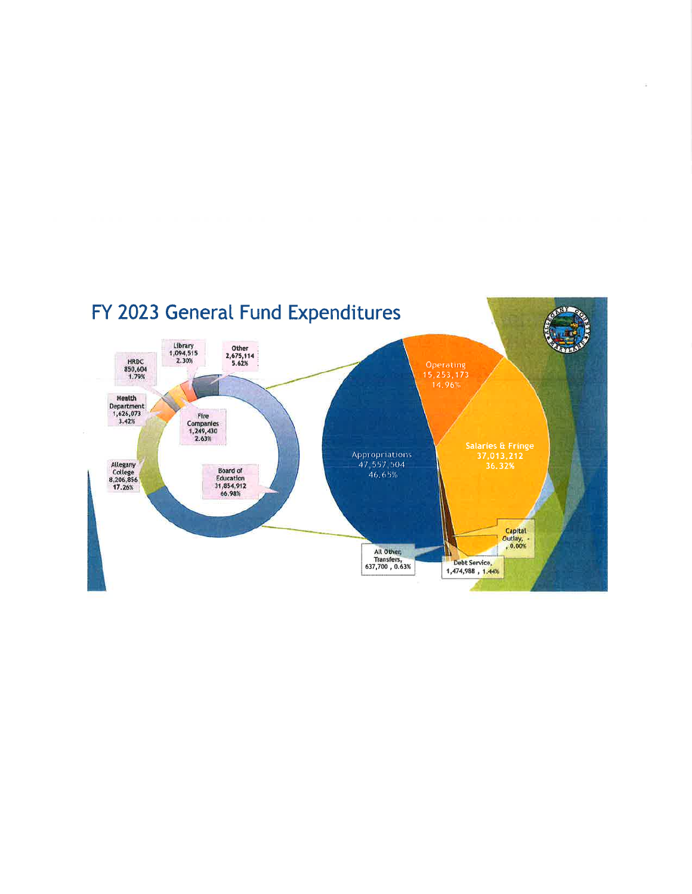

 $\overline{\mathcal{L}}$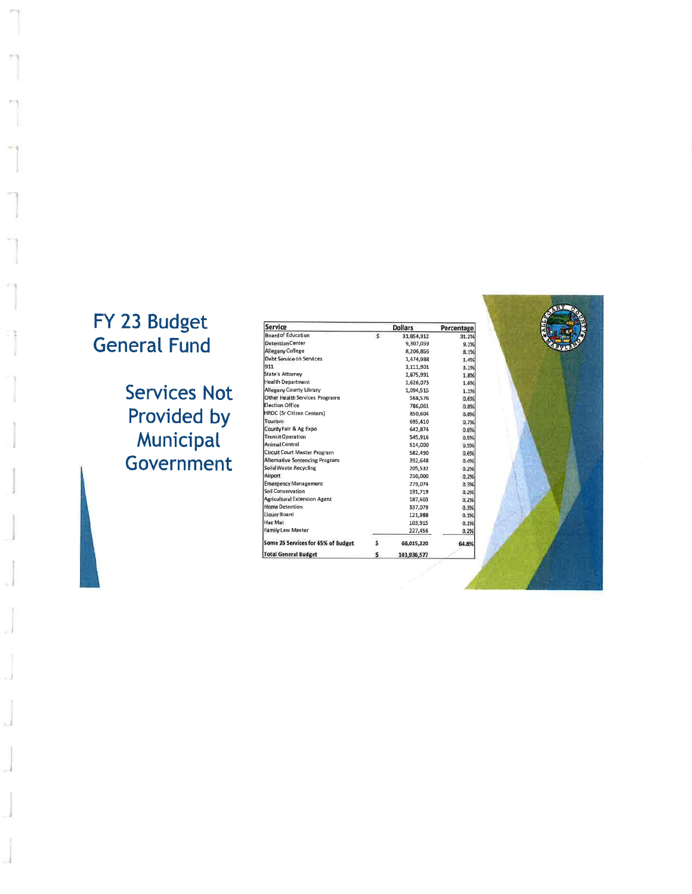# FY 23 Budget<br>General Fund

**Services Not** Provided by **Municipal**<br>Government

| <b>Service</b>                        |    | <b>Dollars</b> | Percentage |  |
|---------------------------------------|----|----------------|------------|--|
| <b>Board of Education</b>             | Ś  | 31,854,912     | 31.2%      |  |
| <b>Detention Center</b>               |    | 9,307,039      | 9.1%       |  |
| Allegany College                      |    | 8,206,856      | 8.1%       |  |
| Debt Service on Services              |    | 1,474,988      | 1.4%       |  |
| 911                                   |    | 3,111,901      | 3.1%       |  |
| <b>State's Attorney</b>               |    | 1,875.991      | 1.8%       |  |
| <b>Health Department</b>              |    | 1,626,073      | 1.6%       |  |
| <b>Allegany County Library</b>        |    | 1,094,515      | 1.1%       |  |
| <b>Other Health Services Programs</b> |    | 568,576        | 0.6%       |  |
| <b>Election Office</b>                |    | 786,061        | 0.8%       |  |
| <b>HRDC (Sr Citizen Centers)</b>      |    | 850,604        | 0.8%       |  |
| Tourism                               |    | 695,410        | 0.7%       |  |
| County Fair & Ag Expo                 |    | 642.874        | 0.6%       |  |
| <b>Transit Operation</b>              |    | 545.916        | 0.5%       |  |
| <b>Animal Control</b>                 |    | 514,000        | 0.5%       |  |
| Circuit Court Master Program          |    | 582,490        | 0.6%       |  |
| Alternative Sentencing Program        |    | 392.648        | 0.4%       |  |
| Solid Waste Recycling                 |    | 205,532        | 0.2%       |  |
| Airport                               |    | 230,000        | 0.2%       |  |
| <b>Emergency Management</b>           |    | 279,074        | 0.3%       |  |
| Sail Conservation                     |    | 191.719        | 0.2%       |  |
| <b>Agricultural Extension Agent</b>   |    | 187.603        | 0.2%       |  |
| <b>Home Detention</b>                 |    | 337,079        | 0.3%       |  |
| Liquor Board                          |    | 121.988        | 0.1%       |  |
| Haz Mat                               |    | 103,915        | 0.1%       |  |
| <b>Family Law Master</b>              |    | 227,456        | 0.2%       |  |
| Some 26 Services for 65% of Budget    | Ś  | 66,015,220     | 64.8%      |  |
| <b>Total General Budget</b>           | \$ | 101,936,577    |            |  |

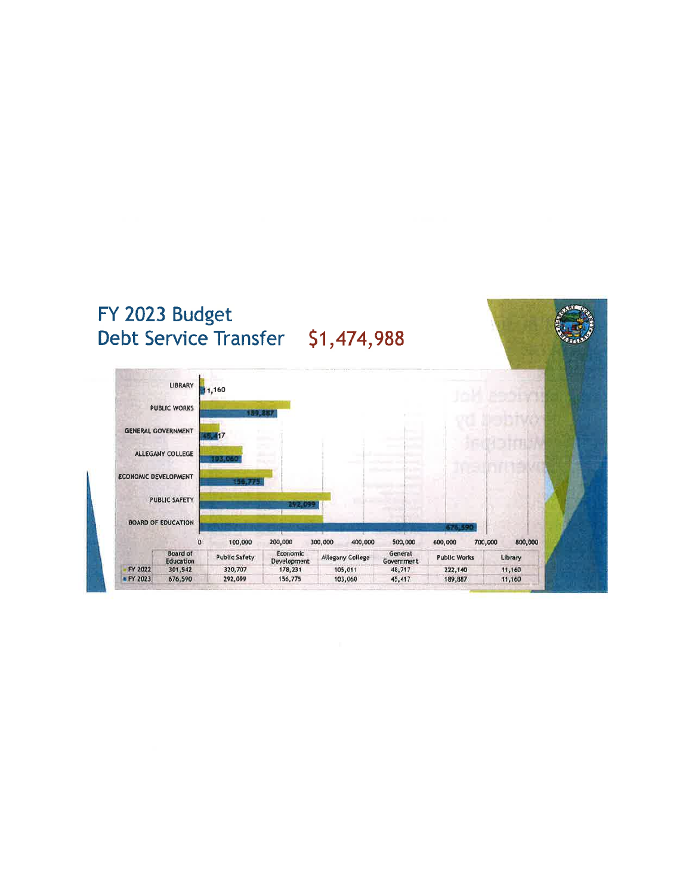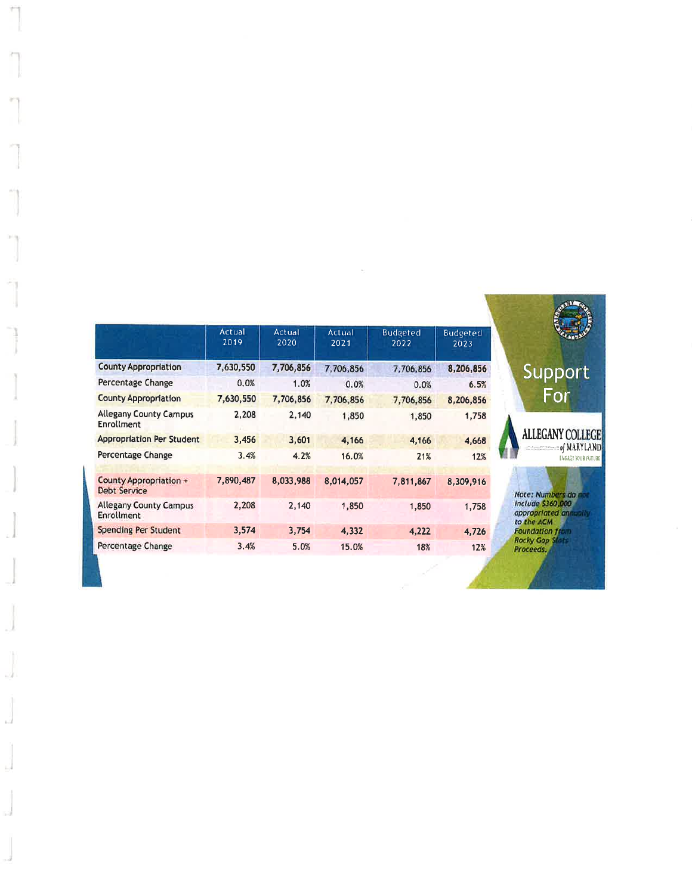|                                                    | Actual<br>2019 | Actual<br>2020 | Actual<br>2021 | <b>Budgeted</b><br>2022 | <b>Budgeted</b><br>2023 |
|----------------------------------------------------|----------------|----------------|----------------|-------------------------|-------------------------|
| <b>County Appropriation</b>                        | 7,630,550      | 7,706,856      | 7,706,856      | 7,706,856               | 8,206,856               |
| Percentage Change                                  | 0.0%           | 1.0%           | 0.0%           | 0.0%                    | 6.5%                    |
| <b>County Appropriation</b>                        | 7,630,550      | 7,706,856      | 7,706,856      | 7,706,856               | 8,206,856               |
| <b>Allegany County Campus</b><br><b>Enrollment</b> | 2,208          | 2,140          | 1,850          | 1,850                   | 1,758                   |
| <b>Appropriation Per Student</b>                   | 3,456          | 3,601          | 4,166          | 4,166                   | 4,668                   |
| Percentage Change                                  | 3.4%           | 4.2%           | 16.0%          | 21%                     | 12%                     |
| County Appropriation +<br><b>Debt Service</b>      | 7,890,487      | 8,033,988      | 8,014,057      | 7,811,867               | 8,309,916               |
| <b>Allegany County Campus</b><br>Enrollment        | 2,208          | 2,140          | 1,850          | 1,850                   | 1,758                   |
| <b>Spending Per Student</b>                        | 3,574          | 3,754          | 4,332          | 4,222                   | 4,726                   |
| Percentage Change                                  | 3,4%           | 5.0%           | 15.0%          | 18%                     | 12%                     |
|                                                    |                |                |                |                         |                         |

s)

È.

 $\sim$ 

Support

For

**ALLEGANY COLLEGE** 

Note: Numbers do not<br>Include \$360,000<br>appropriated annually<br>to the ACM<br>Foundation from<br>Rocky Gop \$fats<br>Proceeds,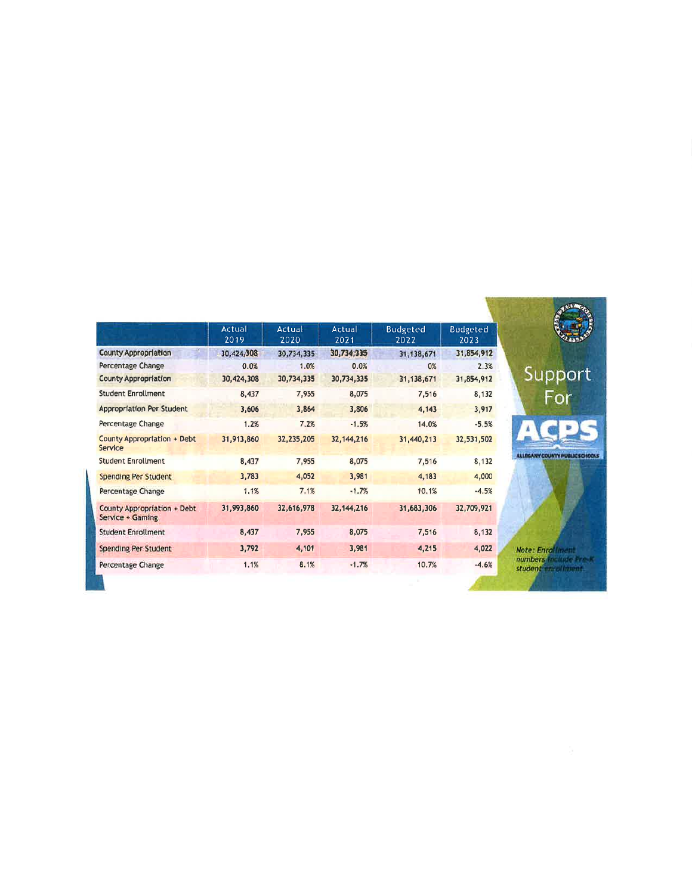|                                                 | <b>Actual</b><br>2019 | Actual<br>2020 | Actual<br>2021 | <b>Budgeted</b><br>2022 | <b>Budgeted</b><br>2023 |
|-------------------------------------------------|-----------------------|----------------|----------------|-------------------------|-------------------------|
| <b>County Appropriation</b>                     | 30,424,308            | 30,734,335     | 30,734,335     | 31,138,671              | 31,854,912              |
| Percentage Change                               | 0.0%                  | 1.0%           | 0.0%           | 0%                      | 2.3%                    |
| <b>County Appropriation</b>                     | 30,424,308            | 30,734,335     | 30,734,335     | 31, 138, 671            | 31,854,912              |
| <b>Student Enrollment</b>                       | 8,437                 | 7,955          | 8,075          | 7,516                   | 8,132                   |
| <b>Appropriation Per Student</b>                | 3,606                 | 3,864          | 3,806          | 4,143                   | 3,917                   |
| Percentage Change                               | 1.2%                  | 7.2%           | $-1.5%$        | 14.0%                   | $-5.5%$                 |
| County Appropriation + Debt<br>Service          | 31,913,860            | 32,235,205     | 32, 144, 216   | 31,440,213              | 32,531,502              |
| <b>Student Enrollment</b>                       | 8,437                 | 7,955          | 8,075          | 7,516                   | 8,132                   |
| <b>Spending Per Student</b>                     | 3,783                 | 4,052          | 3,981          | 4,183                   | 4,000                   |
| Percentage Change                               | 1.1%                  | 7.1%           | $-1.7%$        | 10.1%                   | $-4.5%$                 |
| County Appropriation + Debt<br>Service + Gaming | 31,993,860            | 32,616,978     | 32, 144, 216   | 31,683,306              | 32,709,921              |
| <b>Student Enrollment</b>                       | 8,437                 | 7.955          | 8,075          | 7,516                   | 8,132                   |
| <b>Spending Per Student</b>                     | 3,792                 | 4,101          | 3,981          | 4,215                   | 4,022                   |
| Percentage Change                               | 1.1%                  | 8.1%           | $-1.7%$        | 10.7%                   | $-4.6%$                 |
|                                                 |                       |                |                |                         |                         |

ant<br>ide Pro K<br>Iment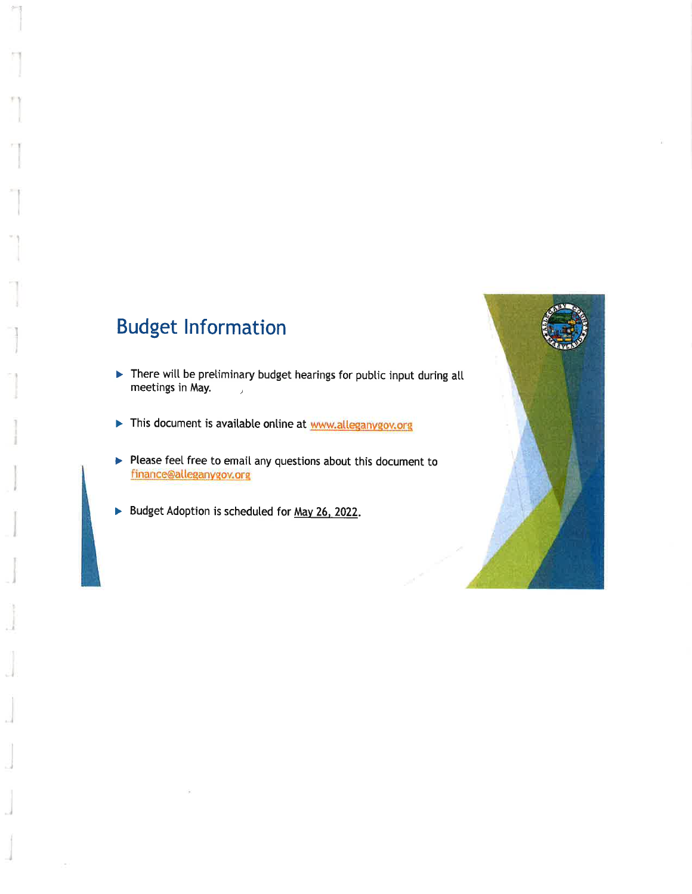# **Budget Information**

- There will be preliminary budget hearings for public input during all meetings in May.  $\overline{1}$
- This document is available online at www.alleganygov.org
- Please feel free to email any questions about this document to finance@alleganygov.org
- Budget Adoption is scheduled for May 26, 2022.

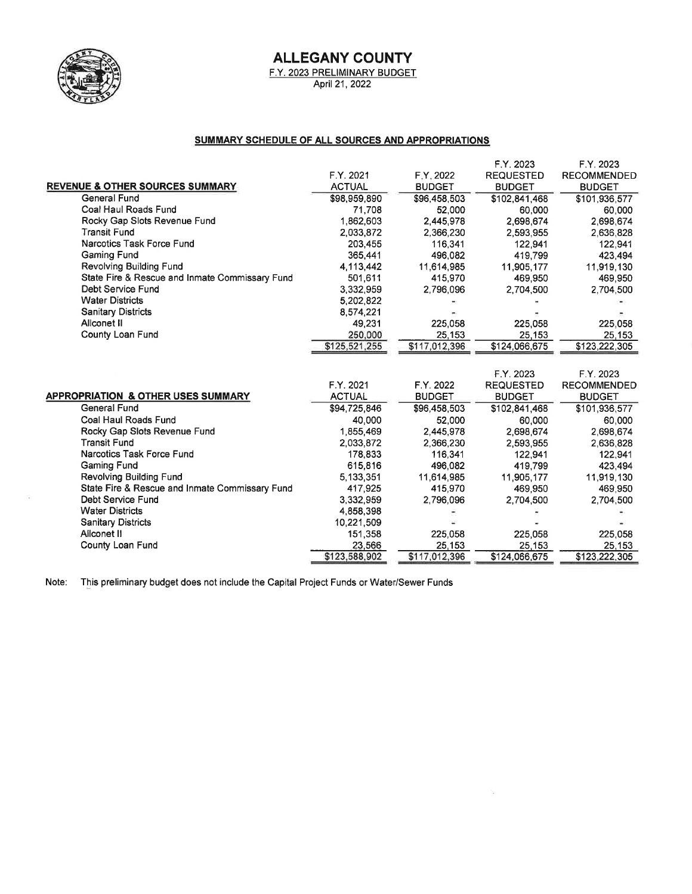

 $\sim$ 

# **ALLEGANY COUNTY**

F.Y. 2023 PRELIMINARY BUDGET<br>April 21, 2022

#### SUMMARY SCHEDULE OF ALL SOURCES AND APPROPRIATIONS

|                                                | F.Y. 2021     | F.Y. 2022     | F.Y. 2023<br><b>REQUESTED</b> | F.Y. 2023<br><b>RECOMMENDED</b> |
|------------------------------------------------|---------------|---------------|-------------------------------|---------------------------------|
| <b>REVENUE &amp; OTHER SOURCES SUMMARY</b>     | <b>ACTUAL</b> | <b>BUDGET</b> | <b>BUDGET</b>                 | <b>BUDGET</b>                   |
| General Fund                                   | \$98,959,890  | \$96,458,503  | \$102,841,468                 | \$101,936,577                   |
| Coal Haul Roads Fund                           | 71,708        | 52,000        | 60,000                        | 60,000                          |
| Rocky Gap Slots Revenue Fund                   | 1,862,603     | 2,445,978     | 2,698,674                     | 2,698,674                       |
| <b>Transit Fund</b>                            | 2,033,872     | 2,366,230     | 2,593,955                     | 2,636,828                       |
| Narcotics Task Force Fund                      | 203,455       | 116,341       | 122,941                       | 122,941                         |
| Gaming Fund                                    | 365,441       | 496,082       | 419,799                       | 423,494                         |
| Revolving Building Fund                        | 4,113,442     | 11,614,985    | 11,905,177                    | 11,919,130                      |
| State Fire & Rescue and Inmate Commissary Fund | 501,611       | 415,970       | 469,950                       | 469,950                         |
| Debt Service Fund                              | 3,332,959     | 2,796,096     | 2,704,500                     | 2.704.500                       |
| <b>Water Districts</b>                         | 5,202,822     |               |                               |                                 |
| Sanitary Districts                             | 8,574,221     |               |                               |                                 |
| Allconet II                                    | 49,231        | 225,058       | 225,058                       | 225,058                         |
| County Loan Fund                               | 250,000       | 25,153        | 25,153                        | 25 153                          |
|                                                | \$125,521,255 | \$117,012,396 | \$124,066,675                 | \$123,222,305                   |
|                                                |               |               |                               |                                 |
|                                                |               |               | F.Y. 2023                     | F.Y. 2023                       |
|                                                | F.Y. 2021     | F.Y. 2022     | <b>REQUESTED</b>              | <b>RECOMMENDED</b>              |
| <b>APPROPRIATION &amp; OTHER USES SUMMARY</b>  | <b>ACTUAL</b> | <b>BUDGET</b> | <b>BUDGET</b>                 | <b>BUDGET</b>                   |
| <b>General Fund</b>                            | \$94 725,846  | \$96,458,503  | \$102,841,468                 | \$101,936,577                   |
| Coal Haul Roads Fund                           | 40.000        | 52.000        | 60.000                        | 60,000                          |
| Rocky Gap Slots Revenue Fund                   | 1855469       | 2,445,978     | 2,698,674                     | 2,698,674                       |
| <b>Transit Fund</b>                            | 2,033,872     | 2,366,230     | 2,593,955                     | 2,636,828                       |
| Narcotics Task Force Fund                      | 178.833       | 116.341       | 122.941                       | 122,941                         |
| <b>Gaming Fund</b>                             | 615,816       | 496,082       | 419,799                       | 423,494                         |
| Revolving Building Fund                        | 5.133.351     | 11,614,985    | 11,905,177                    | 11,919,130                      |
| State Fire & Rescue and Inmate Commissary Fund | 417,925       | 415,970       | 469,950                       | 469,950                         |
| <b>Debt Service Fund</b>                       | 3,332,959     | 2,796,096     | 2,704,500                     | 2,704,500                       |
| <b>Water Districts</b>                         | 4,858,398     |               |                               |                                 |
| <b>Sanitary Districts</b>                      | 10.221,509    |               |                               |                                 |
| Allconet II                                    | 151,358       | 225,058       | 225,058                       | 225,058                         |
| County Loan Fund                               | 23,566        | 25,153        | 25,153                        | 25.153                          |
|                                                | \$123,588,902 | \$117,012,396 | \$124,066,675                 | \$123,222,305                   |

Note: This preliminary budget does not include the Capital Project Funds or Water/Sewer Funds

b.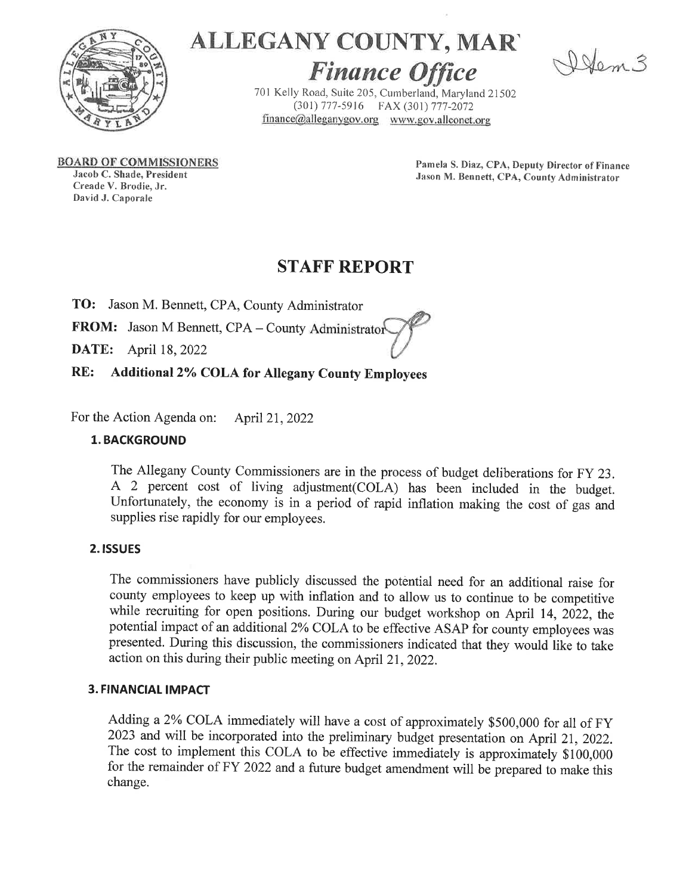

# ALLEGANY COUNTY, MAR'

Dem3

**Finance Office** 701 Kelly Road, Suite 205, Cumberland, Maryland 21502 (301) 777-5916 FAX (301) 777-2072 finance@alleganygov.org www.gov.allconet.org

**BOARD OF COMMISSIONERS** 

Jacob C. Shade, President Creade V. Brodie, Jr. David J. Caporale

Pamela S. Diaz, CPA, Deputy Director of Finance Jason M. Bennett, CPA, County Administrator

# **STAFF REPORT**

TO: Jason M. Bennett, CPA, County Administrator

FROM: Jason M Bennett, CPA - County Administrator

April 18, 2022 DATE:

RE: **Additional 2% COLA for Allegany County Employees** 

For the Action Agenda on: April 21, 2022

# **1. BACKGROUND**

The Allegany County Commissioners are in the process of budget deliberations for FY 23. A 2 percent cost of living adjustment(COLA) has been included in the budget. Unfortunately, the economy is in a period of rapid inflation making the cost of gas and supplies rise rapidly for our employees.

# 2. ISSUES

The commissioners have publicly discussed the potential need for an additional raise for county employees to keep up with inflation and to allow us to continue to be competitive while recruiting for open positions. During our budget workshop on April 14, 2022, the potential impact of an additional 2% COLA to be effective ASAP for county employees was presented. During this discussion, the commissioners indicated that they would like to take action on this during their public meeting on April 21, 2022.

## **3. FINANCIAL IMPACT**

Adding a 2% COLA immediately will have a cost of approximately \$500,000 for all of FY 2023 and will be incorporated into the preliminary budget presentation on April 21, 2022. The cost to implement this COLA to be effective immediately is approximately \$100,000 for the remainder of FY 2022 and a future budget amendment will be prepared to make this change.